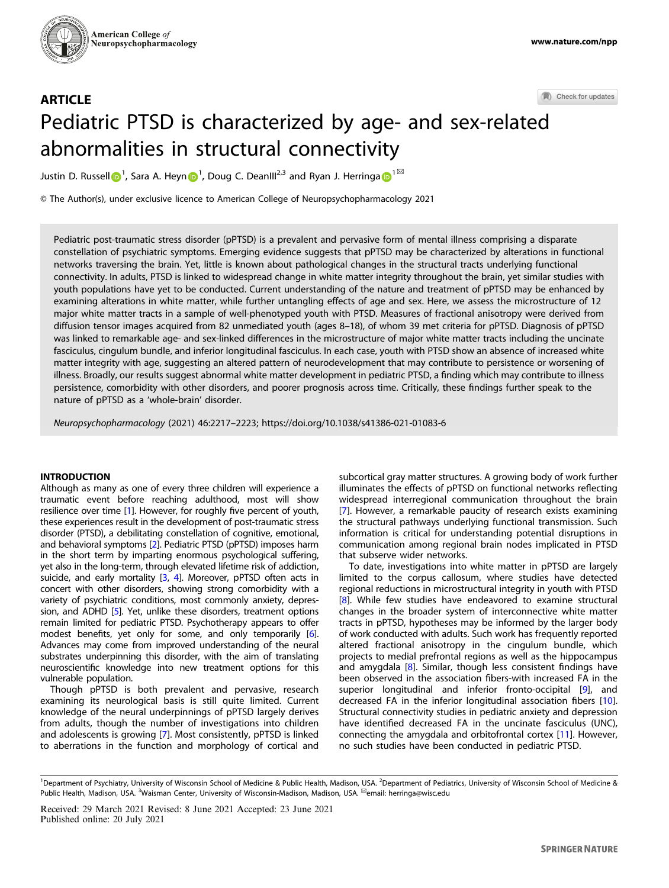

Check for updates

# **ARTICLE** Pediatric PTSD is characterized by age- and sex-relat[ed](http://crossmark.crossref.org/dialog/?doi=10.1038/s41386-021-01083-6&domain=pdf) abnormalities in structural connectivity

Justin D. Russe[l](http://orcid.org/0000-0002-6659-2657)l  $\bigcirc^1$  $\bigcirc^1$ , Sara A. Hey[n](http://orcid.org/0000-0003-0907-1342)  $\bigcirc^1$ , Doug C. DeanIII<sup>2,3</sup> and Ryan J. Herringa  $\bigcirc^1^\boxtimes$ 

© The Author(s), under exclusive licence to American College of Neuropsychopharmacology 2021

Pediatric post-traumatic stress disorder (pPTSD) is a prevalent and pervasive form of mental illness comprising a disparate constellation of psychiatric symptoms. Emerging evidence suggests that pPTSD may be characterized by alterations in functional networks traversing the brain. Yet, little is known about pathological changes in the structural tracts underlying functional connectivity. In adults, PTSD is linked to widespread change in white matter integrity throughout the brain, yet similar studies with youth populations have yet to be conducted. Current understanding of the nature and treatment of pPTSD may be enhanced by examining alterations in white matter, while further untangling effects of age and sex. Here, we assess the microstructure of 12 major white matter tracts in a sample of well-phenotyped youth with PTSD. Measures of fractional anisotropy were derived from diffusion tensor images acquired from 82 unmediated youth (ages 8–18), of whom 39 met criteria for pPTSD. Diagnosis of pPTSD was linked to remarkable age- and sex-linked differences in the microstructure of major white matter tracts including the uncinate fasciculus, cingulum bundle, and inferior longitudinal fasciculus. In each case, youth with PTSD show an absence of increased white matter integrity with age, suggesting an altered pattern of neurodevelopment that may contribute to persistence or worsening of illness. Broadly, our results suggest abnormal white matter development in pediatric PTSD, a finding which may contribute to illness persistence, comorbidity with other disorders, and poorer prognosis across time. Critically, these findings further speak to the nature of pPTSD as a 'whole-brain' disorder.

Neuropsychopharmacology (2021) 46:2217–2223; https://doi.org/10.1038/s41386-021-01083-6

# INTRODUCTION

Although as many as one of every three children will experience a traumatic event before reaching adulthood, most will show resilience over time [[1](#page-5-0)]. However, for roughly five percent of youth, these experiences result in the development of post-traumatic stress disorder (PTSD), a debilitating constellation of cognitive, emotional, and behavioral symptoms [\[2\]](#page-5-0). Pediatric PTSD (pPTSD) imposes harm in the short term by imparting enormous psychological suffering, yet also in the long-term, through elevated lifetime risk of addiction, suicide, and early mortality [[3](#page-5-0), [4](#page-5-0)]. Moreover, pPTSD often acts in concert with other disorders, showing strong comorbidity with a variety of psychiatric conditions, most commonly anxiety, depression, and ADHD [[5\]](#page-5-0). Yet, unlike these disorders, treatment options remain limited for pediatric PTSD. Psychotherapy appears to offer modest benefits, yet only for some, and only temporarily [\[6\]](#page-5-0). Advances may come from improved understanding of the neural substrates underpinning this disorder, with the aim of translating neuroscientific knowledge into new treatment options for this vulnerable population.

Though pPTSD is both prevalent and pervasive, research examining its neurological basis is still quite limited. Current knowledge of the neural underpinnings of pPTSD largely derives from adults, though the number of investigations into children and adolescents is growing [\[7\]](#page-5-0). Most consistently, pPTSD is linked to aberrations in the function and morphology of cortical and subcortical gray matter structures. A growing body of work further illuminates the effects of pPTSD on functional networks reflecting widespread interregional communication throughout the brain [\[7\]](#page-5-0). However, a remarkable paucity of research exists examining the structural pathways underlying functional transmission. Such information is critical for understanding potential disruptions in communication among regional brain nodes implicated in PTSD that subserve wider networks.

To date, investigations into white matter in pPTSD are largely limited to the corpus callosum, where studies have detected regional reductions in microstructural integrity in youth with PTSD [\[8\]](#page-5-0). While few studies have endeavored to examine structural changes in the broader system of interconnective white matter tracts in pPTSD, hypotheses may be informed by the larger body of work conducted with adults. Such work has frequently reported altered fractional anisotropy in the cingulum bundle, which projects to medial prefrontal regions as well as the hippocampus and amygdala [\[8\]](#page-5-0). Similar, though less consistent findings have been observed in the association fibers-with increased FA in the superior longitudinal and inferior fronto-occipital [[9](#page-5-0)], and decreased FA in the inferior longitudinal association fibers [\[10\]](#page-5-0). Structural connectivity studies in pediatric anxiety and depression have identified decreased FA in the uncinate fasciculus (UNC), connecting the amygdala and orbitofrontal cortex [\[11\]](#page-5-0). However, no such studies have been conducted in pediatric PTSD.

<sup>&</sup>lt;sup>1</sup>Department of Psychiatry, University of Wisconsin School of Medicine & Public Health, Madison, USA. <sup>2</sup>Department of Pediatrics, University of Wisconsin School of Medicine & Public Health, Madison, USA. <sup>3</sup>Waisman Center, University of Wisconsin-Madison, Madison, USA. <sup>⊠</sup>email: [herringa@wisc.edu](mailto:herringa@wisc.edu)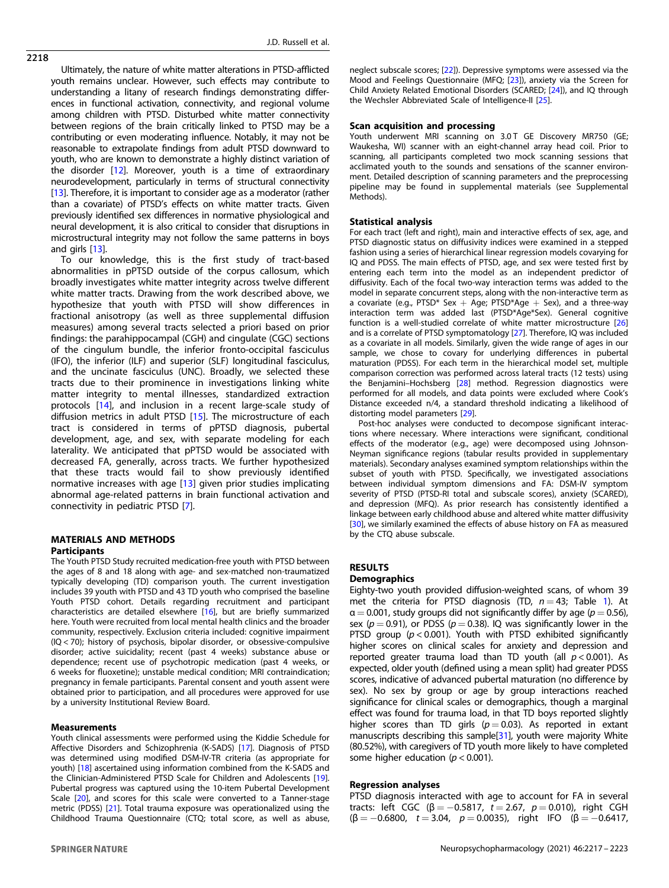2218

Ultimately, the nature of white matter alterations in PTSD-afflicted youth remains unclear. However, such effects may contribute to understanding a litany of research findings demonstrating differences in functional activation, connectivity, and regional volume among children with PTSD. Disturbed white matter connectivity between regions of the brain critically linked to PTSD may be a contributing or even moderating influence. Notably, it may not be reasonable to extrapolate findings from adult PTSD downward to youth, who are known to demonstrate a highly distinct variation of the disorder [\[12\]](#page-5-0). Moreover, youth is a time of extraordinary neurodevelopment, particularly in terms of structural connectivity [[13\]](#page-5-0). Therefore, it is important to consider age as a moderator (rather than a covariate) of PTSD's effects on white matter tracts. Given previously identified sex differences in normative physiological and neural development, it is also critical to consider that disruptions in microstructural integrity may not follow the same patterns in boys and girls [\[13](#page-5-0)].

To our knowledge, this is the first study of tract-based abnormalities in pPTSD outside of the corpus callosum, which broadly investigates white matter integrity across twelve different white matter tracts. Drawing from the work described above, we hypothesize that youth with PTSD will show differences in fractional anisotropy (as well as three supplemental diffusion measures) among several tracts selected a priori based on prior findings: the parahippocampal (CGH) and cingulate (CGC) sections of the cingulum bundle, the inferior fronto-occipital fasciculus (IFO), the inferior (ILF) and superior (SLF) longitudinal fasciculus, and the uncinate fasciculus (UNC). Broadly, we selected these tracts due to their prominence in investigations linking white matter integrity to mental illnesses, standardized extraction protocols [\[14](#page-5-0)], and inclusion in a recent large-scale study of diffusion metrics in adult PTSD [[15\]](#page-5-0). The microstructure of each tract is considered in terms of pPTSD diagnosis, pubertal development, age, and sex, with separate modeling for each laterality. We anticipated that pPTSD would be associated with decreased FA, generally, across tracts. We further hypothesized that these tracts would fail to show previously identified normative increases with age [[13\]](#page-5-0) given prior studies implicating abnormal age-related patterns in brain functional activation and connectivity in pediatric PTSD [[7](#page-5-0)].

# MATERIALS AND METHODS Participants

The Youth PTSD Study recruited medication-free youth with PTSD between the ages of 8 and 18 along with age- and sex-matched non-traumatized typically developing (TD) comparison youth. The current investigation includes 39 youth with PTSD and 43 TD youth who comprised the baseline Youth PTSD cohort. Details regarding recruitment and participant characteristics are detailed elsewhere [[16\]](#page-5-0), but are briefly summarized here. Youth were recruited from local mental health clinics and the broader community, respectively. Exclusion criteria included: cognitive impairment (IQ < 70); history of psychosis, bipolar disorder, or obsessive-compulsive disorder; active suicidality; recent (past 4 weeks) substance abuse or dependence; recent use of psychotropic medication (past 4 weeks, or 6 weeks for fluoxetine); unstable medical condition; MRI contraindication; pregnancy in female participants. Parental consent and youth assent were obtained prior to participation, and all procedures were approved for use by a university Institutional Review Board.

### Measurements

Youth clinical assessments were performed using the Kiddie Schedule for Affective Disorders and Schizophrenia (K-SADS) [[17\]](#page-5-0). Diagnosis of PTSD was determined using modified DSM-IV-TR criteria (as appropriate for youth) [\[18\]](#page-5-0) ascertained using information combined from the K-SADS and the Clinician-Administered PTSD Scale for Children and Adolescents [\[19\]](#page-5-0). Pubertal progress was captured using the 10-item Pubertal Development Scale [\[20\]](#page-5-0), and scores for this scale were converted to a Tanner-stage metric (PDSS) [\[21\]](#page-5-0). Total trauma exposure was operationalized using the Childhood Trauma Questionnaire (CTQ; total score, as well as abuse,

neglect subscale scores; [\[22\]](#page-5-0)). Depressive symptoms were assessed via the Mood and Feelings Questionnaire (MFQ; [\[23](#page-5-0)]), anxiety via the Screen for Child Anxiety Related Emotional Disorders (SCARED; [[24\]](#page-6-0)), and IQ through the Wechsler Abbreviated Scale of Intelligence-II [[25\]](#page-6-0).

#### Scan acquisition and processing

Youth underwent MRI scanning on 3.0 T GE Discovery MR750 (GE; Waukesha, WI) scanner with an eight-channel array head coil. Prior to scanning, all participants completed two mock scanning sessions that acclimated youth to the sounds and sensations of the scanner environment. Detailed description of scanning parameters and the preprocessing pipeline may be found in supplemental materials (see Supplemental Methods).

#### Statistical analysis

For each tract (left and right), main and interactive effects of sex, age, and PTSD diagnostic status on diffusivity indices were examined in a stepped fashion using a series of hierarchical linear regression models covarying for IQ and PDSS. The main effects of PTSD, age, and sex were tested first by entering each term into the model as an independent predictor of diffusivity. Each of the focal two-way interaction terms was added to the model in separate concurrent steps, along with the non-interactive term as a covariate (e.g., PTSD\* Sex + Age; PTSD\*Age + Sex), and a three-way interaction term was added last (PTSD\*Age\*Sex). General cognitive function is a well-studied correlate of white matter microstructure [\[26](#page-6-0)] and is a correlate of PTSD symptomatology [[27\]](#page-6-0). Therefore, IQ was included as a covariate in all models. Similarly, given the wide range of ages in our sample, we chose to covary for underlying differences in pubertal maturation (PDSS). For each term in the hierarchical model set, multiple comparison correction was performed across lateral tracts (12 tests) using the Benjamini–Hochsberg [[28\]](#page-6-0) method. Regression diagnostics were performed for all models, and data points were excluded where Cook's Distance exceeded n/4, a standard threshold indicating a likelihood of distorting model parameters [\[29](#page-6-0)].

Post-hoc analyses were conducted to decompose significant interactions where necessary. Where interactions were significant, conditional effects of the moderator (e.g., age) were decomposed using Johnson-Neyman significance regions (tabular results provided in supplementary materials). Secondary analyses examined symptom relationships within the subset of youth with PTSD. Specifically, we investigated associations between individual symptom dimensions and FA: DSM-IV symptom severity of PTSD (PTSD-RI total and subscale scores), anxiety (SCARED), and depression (MFQ). As prior research has consistently identified a linkage between early childhood abuse and altered white matter diffusivity [[30\]](#page-6-0), we similarly examined the effects of abuse history on FA as measured by the CTQ abuse subscale.

### RESULTS

#### **Demographics**

Eighty-two youth provided diffusion-weighted scans, of whom 39 met the criteria for PTSD diagnosis (TD,  $n = 43$ ; Table [1](#page-2-0)). At  $\alpha = 0.001$ , study groups did not significantly differ by age ( $p = 0.56$ ), sex ( $p = 0.91$ ), or PDSS ( $p = 0.38$ ). IQ was significantly lower in the PTSD group ( $p < 0.001$ ). Youth with PTSD exhibited significantly higher scores on clinical scales for anxiety and depression and reported greater trauma load than TD youth (all  $p < 0.001$ ). As expected, older youth (defined using a mean split) had greater PDSS scores, indicative of advanced pubertal maturation (no difference by sex). No sex by group or age by group interactions reached significance for clinical scales or demographics, though a marginal effect was found for trauma load, in that TD boys reported slightly higher scores than TD girls ( $p = 0.03$ ). As reported in extant manuscripts describing this sample[\[31\]](#page-6-0), youth were majority White (80.52%), with caregivers of TD youth more likely to have completed some higher education ( $p < 0.001$ ).

# Regression analyses

PTSD diagnosis interacted with age to account for FA in several tracts: left CGC (β = -0.5817, t = 2.67, p = 0.010), right CGH  $(\beta = -0.6800, t = 3.04, p = 0.0035)$ , right IFO  $(\beta = -0.6417,$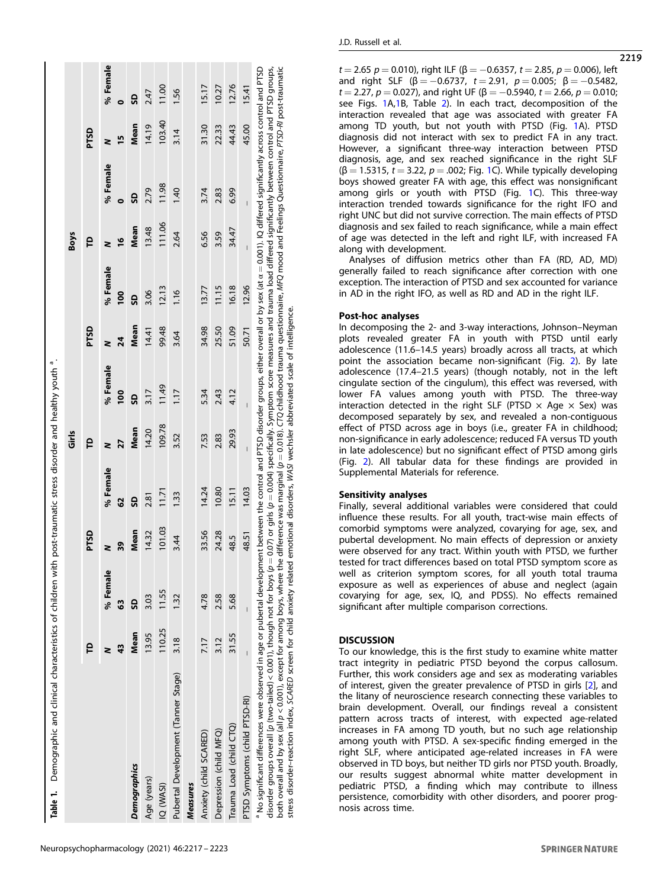<span id="page-2-0"></span>

|                     | Table 1. Demographic and clinical characteristics of children with post-traumatic stress disorder and healthy youth <sup>a</sup> .                                                                                                                                                                                                                                                                                                                                                                                                                                                                                                                                           |             |                |             |                                                                                                                                               |                |                |       |               |                |                |        |          |
|---------------------|------------------------------------------------------------------------------------------------------------------------------------------------------------------------------------------------------------------------------------------------------------------------------------------------------------------------------------------------------------------------------------------------------------------------------------------------------------------------------------------------------------------------------------------------------------------------------------------------------------------------------------------------------------------------------|-------------|----------------|-------------|-----------------------------------------------------------------------------------------------------------------------------------------------|----------------|----------------|-------|---------------|----------------|----------------|--------|----------|
|                     |                                                                                                                                                                                                                                                                                                                                                                                                                                                                                                                                                                                                                                                                              |             |                |             |                                                                                                                                               | Girls          |                |       |               | <b>Boys</b>    |                |        |          |
|                     |                                                                                                                                                                                                                                                                                                                                                                                                                                                                                                                                                                                                                                                                              | P           |                | <b>PTSD</b> |                                                                                                                                               | e              |                | PTSD  |               | e              |                | PTSD   |          |
|                     |                                                                                                                                                                                                                                                                                                                                                                                                                                                                                                                                                                                                                                                                              |             | % Female       |             | % Female                                                                                                                                      |                | % Female       |       | % Female      |                | % Female       | z      | % Female |
|                     |                                                                                                                                                                                                                                                                                                                                                                                                                                                                                                                                                                                                                                                                              | 43          | 3              | 39          | 62                                                                                                                                            | 27             | $\frac{8}{1}$  | 24    | $\frac{8}{1}$ | $\frac{9}{2}$  |                | n      | 0        |
| <b>Demographics</b> |                                                                                                                                                                                                                                                                                                                                                                                                                                                                                                                                                                                                                                                                              | <b>Mean</b> | ဌ              | Mean        | G                                                                                                                                             | Mean           | G              | Mean  | <u>ទ</u>      | Mean           | G              | Mean   | SD       |
| Age (years)         |                                                                                                                                                                                                                                                                                                                                                                                                                                                                                                                                                                                                                                                                              | 13.95       | 3.03           | 14.32       | 2.81                                                                                                                                          | 14.20          | 3.17           | 14.41 | 3.06          | 13.48          | 2.79           | 14.19  | 2.47     |
| IQ (WASI)           |                                                                                                                                                                                                                                                                                                                                                                                                                                                                                                                                                                                                                                                                              | 110.25      | 11.55          | 101.03      | 11.71                                                                                                                                         | 109.78         | 11.49          | 99.48 | 12.13         | 111.06         | 11.98          | 103.40 | 11.00    |
|                     | Pubertal Development (Tanner Stage)                                                                                                                                                                                                                                                                                                                                                                                                                                                                                                                                                                                                                                          | 3.18        | 132            | 3.44        | 1.33                                                                                                                                          | 3.52           | 117            | 3.64  | 1.16          | 2.64           | 1.40           | 3.14   | $-56$    |
| <b>Measures</b>     |                                                                                                                                                                                                                                                                                                                                                                                                                                                                                                                                                                                                                                                                              |             |                |             |                                                                                                                                               |                |                |       |               |                |                |        |          |
|                     | Anxiety (child SCARED)                                                                                                                                                                                                                                                                                                                                                                                                                                                                                                                                                                                                                                                       | 7.17        | 4.78           | 33.56       | 14.24                                                                                                                                         | 7.53           | 5.34           | 34.98 | 13.77         | 6.56           | 3.74           | 31.30  | 15.17    |
|                     | Depression (child MFQ)                                                                                                                                                                                                                                                                                                                                                                                                                                                                                                                                                                                                                                                       | 3.12        | 2.58           | 24.28       | 10.80                                                                                                                                         | 2.83           | 2.43           | 25.50 | 11.15         | 3.59           | 2.83           | 22.33  | 10.27    |
|                     | Trauma Load (child CTQ)                                                                                                                                                                                                                                                                                                                                                                                                                                                                                                                                                                                                                                                      | 31.55       | 5.68           | 48.5        | 15.11                                                                                                                                         | 29.93          | 4.12           | 51.09 | 16.18         | 34.47          | 6.99           | 44.43  | 12.76    |
|                     | PTSD Symptoms (child PTSD-RI)                                                                                                                                                                                                                                                                                                                                                                                                                                                                                                                                                                                                                                                | Ī           | $\overline{1}$ | 48.51       | 14.03                                                                                                                                         | $\overline{1}$ | $\overline{1}$ | 50.71 | 12.96         | $\overline{1}$ | $\overline{1}$ | 45.00  | 15.41    |
|                     | both overall and by sex (all p < 0.0011, except for among boys, where the difference was marginal (p = 0.018). CTQ childhood trauma questionnaire, MFQ mood and Feelings Questionnaire, PT3D-RI post-traumatic<br>$^3$ No significant differences were observed in age or pubertal development between the control and PTSD disorder groups, either overall or by sex (at $\alpha = 0.001$ ). IQ differed significantly across control and PTSD<br>stress disorder-reaction index, SCARED screen for child anxiety related emotional disorders, WASI wechsler abbreviated scale of intelligence.<br>disorder groups overall [p (two-tailed) < 0.001), though not for boys (p |             |                |             | $=$ 0.07) or girls ( $p=$ 0.004) specifically. Symptom score measures and trauma load differed significantly between control and PTSD groups, |                |                |       |               |                |                |        |          |

Neuropsychopharmacology (2021) 46:2217 – 2223

 $t = 2.65$   $p = 0.010$ , right ILF ( $\beta = -0.6357$ ,  $t = 2.85$ ,  $p = 0.006$ ), left and right SLF  $(6 = -0.6737, t = 2.91, p = 0.005; \beta = -0.5482$ t = 2.27,  $p = 0.027$ ), and right UF (β = -0.5940, t = 2.66, p = 0.010; see Figs. [1](#page-3-0)A[,1B](#page-3-0), Table [2\)](#page-4-0). In each tract, decomposition of the interaction revealed that age was associated with greater FA among TD youth, but not youth with PTSD (Fig. [1](#page-3-0)A). PTSD diagnosis did not interact with sex to predict FA in any tract. However, a significant three-way interaction between PTSD diagnosis, age, and sex reached significance in the right SLF  $(\beta = 1.5315, t = 3.22, p = .002;$  $(\beta = 1.5315, t = 3.22, p = .002;$  $(\beta = 1.5315, t = 3.22, p = .002;$  Fig. 1C). While typically developing boys showed greater FA with age, this effect was nonsignificant among girls or youth with PTSD (Fig. [1](#page-3-0)C). This three-way interaction trended towards significance for the right IFO and right UNC but did not survive correction. The main effects of PTSD diagnosis and sex failed to reach significance, while a main effect of age was detected in the left and right ILF, with increased FA along with development.

Analyses of diffusion metrics other than FA (RD, AD, MD) generally failed to reach significance after correction with one exception. The interaction of PTSD and sex accounted for variance in AD in the right IFO, as well as RD and AD in the right ILF.

# Post-hoc analyses

In decomposing the 2- and 3-way interactions, Johnson–Neyman plots revealed greater FA in youth with PTSD until early adolescence (11.6–14.5 years) broadly across all tracts, at which point the association became non-significant (Fig. [2](#page-4-0)). By late adolescence (17.4–21.5 years) (though notably, not in the left cingulate section of the cingulum), this effect was reversed, with lower FA values among youth with PTSD. The three-way interaction detected in the right SLF (PTSD  $\times$  Age  $\times$  Sex) was decomposed separately by sex, and revealed a non-contiguous effect of PTSD across age in boys (i.e., greater FA in childhood; non-significance in early adolescence; reduced FA versus TD youth in late adolescence) but no significant effect of PTSD among girls (Fig. [2\)](#page-4-0). All tabular data for these findings are provided in Supplemental Materials for reference.

# Sensitivity analyses

Finally, several additional variables were considered that could influence these results. For all youth, tract-wise main effects of comorbid symptoms were analyzed, covarying for age, sex, and pubertal development. No main effects of depression or anxiety were observed for any tract. Within youth with PTSD, we further tested for tract differences based on total PTSD symptom score as well as criterion symptom scores, for all youth total trauma exposure as well as experiences of abuse and neglect (again covarying for age, sex, IQ, and PDSS). No effects remained significant after multiple comparison corrections.

### **DISCUSSION**

To our knowledge, this is the first study to examine white matter tract integrity in pediatric PTSD beyond the corpus callosum. Further, this work considers age and sex as moderating variables of interest, given the greater prevalence of PTSD in girls [[2](#page-5-0)], and the litany of neuroscience research connecting these variables to brain development. Overall, our findings reveal a consistent pattern across tracts of interest, with expected age-related increases in FA among TD youth, but no such age relationship among youth with PTSD. A sex-specific finding emerged in the right SLF, where anticipated age-related increases in FA were observed in TD boys, but neither TD girls nor PTSD youth. Broadly, our results suggest abnormal white matter development in pediatric PTSD, a finding which may contribute to illness persistence, comorbidity with other disorders, and poorer prognosis across time.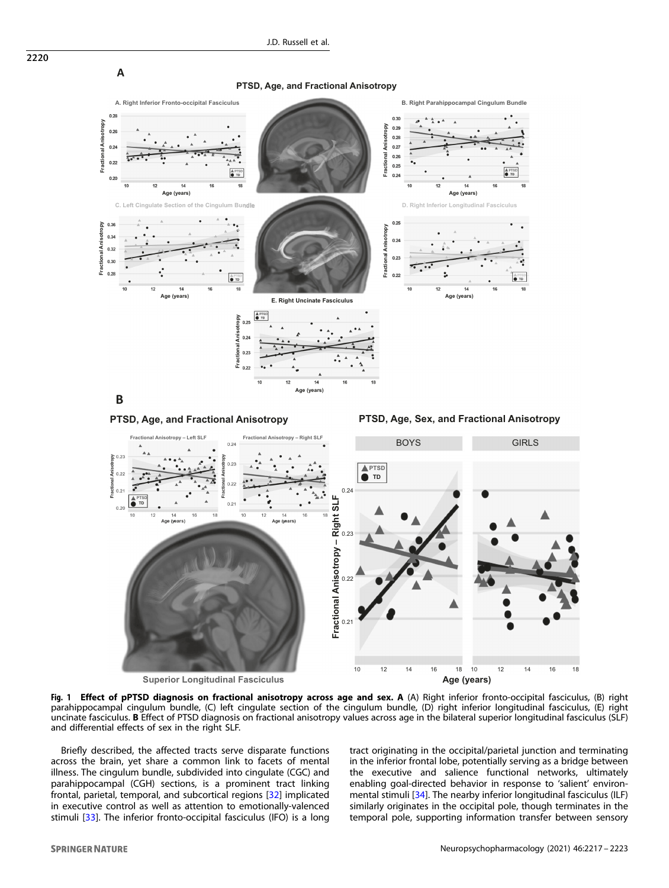<span id="page-3-0"></span>



Fig. 1 Effect of pPTSD diagnosis on fractional anisotropy across age and sex. A (A) Right inferior fronto-occipital fasciculus, (B) right parahippocampal cingulum bundle, (C) left cingulate section of the cingulum bundle, (D) right inferior longitudinal fasciculus, (E) right uncinate fasciculus. B Effect of PTSD diagnosis on fractional anisotropy values across age in the bilateral superior longitudinal fasciculus (SLF) and differential effects of sex in the right SLF.

Briefly described, the affected tracts serve disparate functions across the brain, yet share a common link to facets of mental illness. The cingulum bundle, subdivided into cingulate (CGC) and parahippocampal (CGH) sections, is a prominent tract linking frontal, parietal, temporal, and subcortical regions [\[32\]](#page-6-0) implicated in executive control as well as attention to emotionally-valenced stimuli [\[33](#page-6-0)]. The inferior fronto-occipital fasciculus (IFO) is a long

tract originating in the occipital/parietal junction and terminating in the inferior frontal lobe, potentially serving as a bridge between the executive and salience functional networks, ultimately enabling goal-directed behavior in response to 'salient' environmental stimuli [\[34\]](#page-6-0). The nearby inferior longitudinal fasciculus (ILF) similarly originates in the occipital pole, though terminates in the temporal pole, supporting information transfer between sensory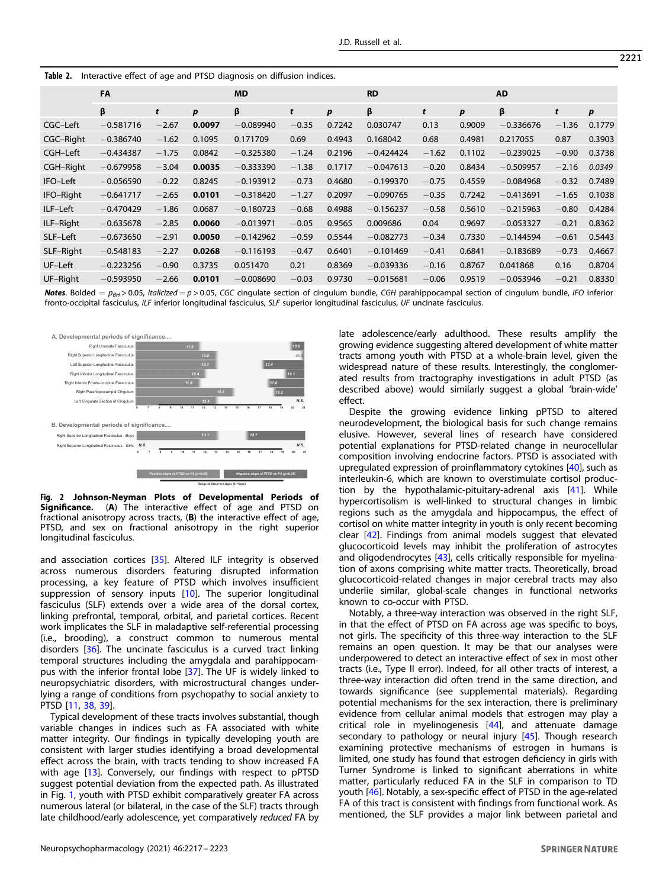<span id="page-4-0"></span>

| <b>Table 2.</b> Interactive effect of age and PTSD diagnosis on diffusion indices. |  |  |
|------------------------------------------------------------------------------------|--|--|
|                                                                                    |  |  |

|                  | FA          |         |        | <b>MD</b>   |         |                  | <b>RD</b>   |         |                  | <b>AD</b>   |         |                  |
|------------------|-------------|---------|--------|-------------|---------|------------------|-------------|---------|------------------|-------------|---------|------------------|
|                  | β           | t       | p      | β           | t       | $\boldsymbol{p}$ | β           | t       | $\boldsymbol{p}$ | β           | t       | $\boldsymbol{p}$ |
| CGC-Left         | $-0.581716$ | $-2.67$ | 0.0097 | $-0.089940$ | $-0.35$ | 0.7242           | 0.030747    | 0.13    | 0.9009           | $-0.336676$ | $-1.36$ | 0.1779           |
| <b>CGC-Right</b> | $-0.386740$ | $-1.62$ | 0.1095 | 0.171709    | 0.69    | 0.4943           | 0.168042    | 0.68    | 0.4981           | 0.217055    | 0.87    | 0.3903           |
| CGH-Left         | $-0.434387$ | $-1.75$ | 0.0842 | $-0.325380$ | $-1.24$ | 0.2196           | $-0.424424$ | $-1.62$ | 0.1102           | $-0.239025$ | $-0.90$ | 0.3738           |
| <b>CGH-Right</b> | $-0.679958$ | $-3.04$ | 0.0035 | $-0.333390$ | $-1.38$ | 0.1717           | $-0.047613$ | $-0.20$ | 0.8434           | $-0.509957$ | $-2.16$ | 0.0349           |
| IFO-Left         | $-0.056590$ | $-0.22$ | 0.8245 | $-0.193912$ | $-0.73$ | 0.4680           | $-0.199370$ | $-0.75$ | 0.4559           | $-0.084968$ | $-0.32$ | 0.7489           |
| IFO-Right        | $-0.641717$ | $-2.65$ | 0.0101 | $-0.318420$ | $-1.27$ | 0.2097           | $-0.090765$ | $-0.35$ | 0.7242           | $-0.413691$ | $-1.65$ | 0.1038           |
| ILF-Left         | $-0.470429$ | $-1.86$ | 0.0687 | $-0.180723$ | $-0.68$ | 0.4988           | $-0.156237$ | $-0.58$ | 0.5610           | $-0.215963$ | $-0.80$ | 0.4284           |
| ILF-Right        | $-0.635678$ | $-2.85$ | 0.0060 | $-0.013971$ | $-0.05$ | 0.9565           | 0.009686    | 0.04    | 0.9697           | $-0.053327$ | $-0.21$ | 0.8362           |
| SLF-Left         | $-0.673650$ | $-2.91$ | 0.0050 | $-0.142962$ | $-0.59$ | 0.5544           | $-0.082773$ | $-0.34$ | 0.7330           | $-0.144594$ | $-0.61$ | 0.5443           |
| SLF-Right        | $-0.548183$ | $-2.27$ | 0.0268 | $-0.116193$ | $-0.47$ | 0.6401           | $-0.101469$ | $-0.41$ | 0.6841           | $-0.183689$ | $-0.73$ | 0.4667           |
| UF-Left          | $-0.223256$ | $-0.90$ | 0.3735 | 0.051470    | 0.21    | 0.8369           | $-0.039336$ | $-0.16$ | 0.8767           | 0.041868    | 0.16    | 0.8704           |
| UF-Right         | $-0.593950$ | $-2.66$ | 0.0101 | $-0.008690$ | $-0.03$ | 0.9730           | $-0.015681$ | $-0.06$ | 0.9519           | $-0.053946$ | $-0.21$ | 0.8330           |

**Notes.** Bolded =  $p_{BH}$  > 0.05, Italicized = p > 0.05, CGC cingulate section of cingulum bundle, CGH parahippocampal section of cingulum bundle, IFO inferior fronto-occipital fasciculus, ILF inferior longitudinal fasciculus, SLF superior longitudinal fasciculus, UF uncinate fasciculus.



Fig. 2 Johnson-Neyman Plots of Developmental Periods of Significance. (A) The interactive effect of age and PTSD on fractional anisotropy across tracts, (B) the interactive effect of age, PTSD, and sex on fractional anisotropy in the right superior longitudinal fasciculus.

and association cortices [\[35](#page-6-0)]. Altered ILF integrity is observed across numerous disorders featuring disrupted information processing, a key feature of PTSD which involves insufficient suppression of sensory inputs [[10\]](#page-5-0). The superior longitudinal fasciculus (SLF) extends over a wide area of the dorsal cortex, linking prefrontal, temporal, orbital, and parietal cortices. Recent work implicates the SLF in maladaptive self-referential processing (i.e., brooding), a construct common to numerous mental disorders [[36](#page-6-0)]. The uncinate fasciculus is a curved tract linking temporal structures including the amygdala and parahippocampus with the inferior frontal lobe [\[37](#page-6-0)]. The UF is widely linked to neuropsychiatric disorders, with microstructural changes underlying a range of conditions from psychopathy to social anxiety to PTSD [[11,](#page-5-0) [38,](#page-6-0) [39\]](#page-6-0).

Typical development of these tracts involves substantial, though variable changes in indices such as FA associated with white matter integrity. Our findings in typically developing youth are consistent with larger studies identifying a broad developmental effect across the brain, with tracts tending to show increased FA with age [[13\]](#page-5-0). Conversely, our findings with respect to pPTSD suggest potential deviation from the expected path. As illustrated in Fig. [1,](#page-3-0) youth with PTSD exhibit comparatively greater FA across numerous lateral (or bilateral, in the case of the SLF) tracts through late childhood/early adolescence, yet comparatively reduced FA by late adolescence/early adulthood. These results amplify the growing evidence suggesting altered development of white matter tracts among youth with PTSD at a whole-brain level, given the widespread nature of these results. Interestingly, the conglomerated results from tractography investigations in adult PTSD (as described above) would similarly suggest a global 'brain-wide' effect.

Despite the growing evidence linking pPTSD to altered neurodevelopment, the biological basis for such change remains elusive. However, several lines of research have considered potential explanations for PTSD-related change in neurocellular composition involving endocrine factors. PTSD is associated with upregulated expression of proinflammatory cytokines [[40\]](#page-6-0), such as interleukin-6, which are known to overstimulate cortisol production by the hypothalamic-pituitary-adrenal axis [[41](#page-6-0)]. While hypercortisolism is well-linked to structural changes in limbic regions such as the amygdala and hippocampus, the effect of cortisol on white matter integrity in youth is only recent becoming clear [[42\]](#page-6-0). Findings from animal models suggest that elevated glucocorticoid levels may inhibit the proliferation of astrocytes and oligodendrocytes [[43\]](#page-6-0), cells critically responsible for myelination of axons comprising white matter tracts. Theoretically, broad glucocorticoid-related changes in major cerebral tracts may also underlie similar, global-scale changes in functional networks known to co-occur with PTSD.

Notably, a three-way interaction was observed in the right SLF, in that the effect of PTSD on FA across age was specific to boys, not girls. The specificity of this three-way interaction to the SLF remains an open question. It may be that our analyses were underpowered to detect an interactive effect of sex in most other tracts (i.e., Type II error). Indeed, for all other tracts of interest, a three-way interaction did often trend in the same direction, and towards significance (see supplemental materials). Regarding potential mechanisms for the sex interaction, there is preliminary evidence from cellular animal models that estrogen may play a critical role in myelinogenesis [\[44](#page-6-0)], and attenuate damage secondary to pathology or neural injury [\[45](#page-6-0)]. Though research examining protective mechanisms of estrogen in humans is limited, one study has found that estrogen deficiency in girls with Turner Syndrome is linked to significant aberrations in white matter, particularly reduced FA in the SLF in comparison to TD youth [\[46\]](#page-6-0). Notably, a sex-specific effect of PTSD in the age-related FA of this tract is consistent with findings from functional work. As mentioned, the SLF provides a major link between parietal and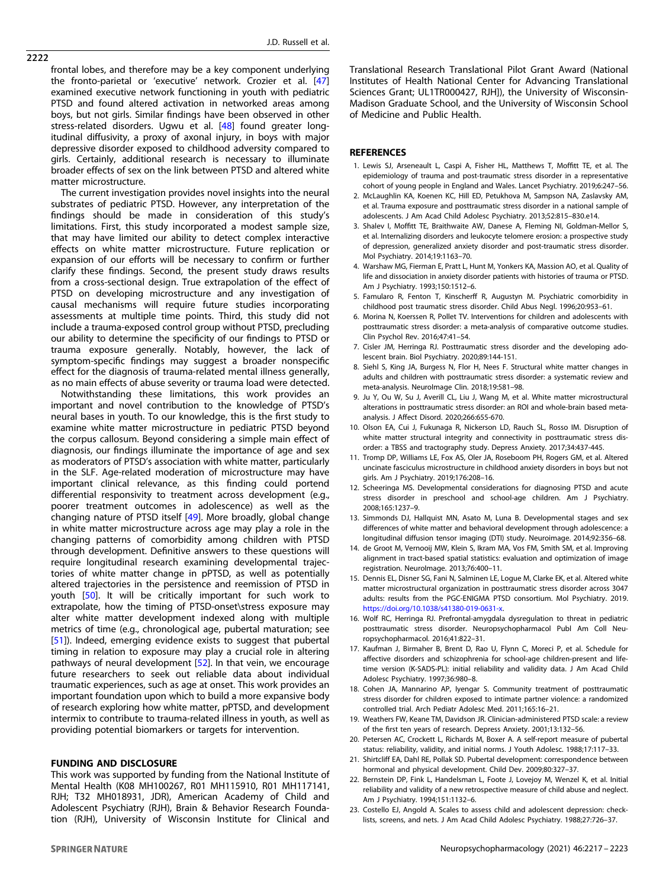<span id="page-5-0"></span>2222

frontal lobes, and therefore may be a key component underlying the fronto-parietal or 'executive' network. Crozier et al. [[47\]](#page-6-0) examined executive network functioning in youth with pediatric PTSD and found altered activation in networked areas among boys, but not girls. Similar findings have been observed in other stress-related disorders. Ugwu et al. [\[48\]](#page-6-0) found greater longitudinal diffusivity, a proxy of axonal injury, in boys with major depressive disorder exposed to childhood adversity compared to girls. Certainly, additional research is necessary to illuminate broader effects of sex on the link between PTSD and altered white matter microstructure.

The current investigation provides novel insights into the neural substrates of pediatric PTSD. However, any interpretation of the findings should be made in consideration of this study's limitations. First, this study incorporated a modest sample size, that may have limited our ability to detect complex interactive effects on white matter microstructure. Future replication or expansion of our efforts will be necessary to confirm or further clarify these findings. Second, the present study draws results from a cross-sectional design. True extrapolation of the effect of PTSD on developing microstructure and any investigation of causal mechanisms will require future studies incorporating assessments at multiple time points. Third, this study did not include a trauma-exposed control group without PTSD, precluding our ability to determine the specificity of our findings to PTSD or trauma exposure generally. Notably, however, the lack of symptom-specific findings may suggest a broader nonspecific effect for the diagnosis of trauma-related mental illness generally, as no main effects of abuse severity or trauma load were detected.

Notwithstanding these limitations, this work provides an important and novel contribution to the knowledge of PTSD's neural bases in youth. To our knowledge, this is the first study to examine white matter microstructure in pediatric PTSD beyond the corpus callosum. Beyond considering a simple main effect of diagnosis, our findings illuminate the importance of age and sex as moderators of PTSD's association with white matter, particularly in the SLF. Age-related moderation of microstructure may have important clinical relevance, as this finding could portend differential responsivity to treatment across development (e.g., poorer treatment outcomes in adolescence) as well as the changing nature of PTSD itself [\[49](#page-6-0)]. More broadly, global change in white matter microstructure across age may play a role in the changing patterns of comorbidity among children with PTSD through development. Definitive answers to these questions will require longitudinal research examining developmental trajectories of white matter change in pPTSD, as well as potentially altered trajectories in the persistence and reemission of PTSD in youth [[50\]](#page-6-0). It will be critically important for such work to extrapolate, how the timing of PTSD-onset\stress exposure may alter white matter development indexed along with multiple metrics of time (e.g., chronological age, pubertal maturation; see [[51\]](#page-6-0)). Indeed, emerging evidence exists to suggest that pubertal timing in relation to exposure may play a crucial role in altering pathways of neural development [[52\]](#page-6-0). In that vein, we encourage future researchers to seek out reliable data about individual traumatic experiences, such as age at onset. This work provides an important foundation upon which to build a more expansive body of research exploring how white matter, pPTSD, and development intermix to contribute to trauma-related illness in youth, as well as providing potential biomarkers or targets for intervention.

### FUNDING AND DISCLOSURE

This work was supported by funding from the National Institute of Mental Health (K08 MH100267, R01 MH115910, R01 MH117141, RJH; T32 MH018931, JDR), American Academy of Child and Adolescent Psychiatry (RJH), Brain & Behavior Research Foundation (RJH), University of Wisconsin Institute for Clinical and Translational Research Translational Pilot Grant Award (National Institutes of Health National Center for Advancing Translational Sciences Grant; UL1TR000427, RJH]), the University of Wisconsin-Madison Graduate School, and the University of Wisconsin School of Medicine and Public Health.

# **REFERENCES**

- 1. Lewis SJ, Arseneault L, Caspi A, Fisher HL, Matthews T, Moffitt TE, et al. The epidemiology of trauma and post-traumatic stress disorder in a representative cohort of young people in England and Wales. Lancet Psychiatry. 2019;6:247–56.
- 2. McLaughlin KA, Koenen KC, Hill ED, Petukhova M, Sampson NA, Zaslavsky AM, et al. Trauma exposure and posttraumatic stress disorder in a national sample of adolescents. J Am Acad Child Adolesc Psychiatry. 2013;52:815–830.e14.
- 3. Shalev I, Moffitt TE, Braithwaite AW, Danese A, Fleming NI, Goldman-Mellor S, et al. Internalizing disorders and leukocyte telomere erosion: a prospective study of depression, generalized anxiety disorder and post-traumatic stress disorder. Mol Psychiatry. 2014;19:1163–70.
- 4. Warshaw MG, Fierman E, Pratt L, Hunt M, Yonkers KA, Massion AO, et al. Quality of life and dissociation in anxiety disorder patients with histories of trauma or PTSD. Am J Psychiatry. 1993;150:1512–6.
- 5. Famularo R, Fenton T, Kinscherff R, Augustyn M. Psychiatric comorbidity in childhood post traumatic stress disorder. Child Abus Negl. 1996;20:953–61.
- 6. Morina N, Koerssen R, Pollet TV. Interventions for children and adolescents with posttraumatic stress disorder: a meta-analysis of comparative outcome studies. Clin Psychol Rev. 2016;47:41–54.
- 7. Cisler JM, Herringa RJ. Posttraumatic stress disorder and the developing adolescent brain. Biol Psychiatry. 2020;89:144-151.
- 8. Siehl S, King JA, Burgess N, Flor H, Nees F. Structural white matter changes in adults and children with posttraumatic stress disorder: a systematic review and meta-analysis. NeuroImage Clin. 2018;19:581–98.
- 9. Ju Y, Ou W, Su J, Averill CL, Liu J, Wang M, et al. White matter microstructural alterations in posttraumatic stress disorder: an ROI and whole-brain based metaanalysis. J Affect Disord. 2020;266:655-670.
- 10. Olson EA, Cui J, Fukunaga R, Nickerson LD, Rauch SL, Rosso IM. Disruption of white matter structural integrity and connectivity in posttraumatic stress disorder: a TBSS and tractography study. Depress Anxiety. 2017;34:437-445.
- 11. Tromp DP, Williams LE, Fox AS, Oler JA, Roseboom PH, Rogers GM, et al. Altered uncinate fasciculus microstructure in childhood anxiety disorders in boys but not girls. Am J Psychiatry. 2019;176:208–16.
- 12. Scheeringa MS. Developmental considerations for diagnosing PTSD and acute stress disorder in preschool and school-age children. Am J Psychiatry. 2008;165:1237–9.
- 13. Simmonds DJ, Hallquist MN, Asato M, Luna B. Developmental stages and sex differences of white matter and behavioral development through adolescence: a longitudinal diffusion tensor imaging (DTI) study. Neuroimage. 2014;92:356–68.
- 14. de Groot M, Vernooij MW, Klein S, Ikram MA, Vos FM, Smith SM, et al. Improving alignment in tract-based spatial statistics: evaluation and optimization of image registration. NeuroImage. 2013;76:400–11.
- 15. Dennis EL, Disner SG, Fani N, Salminen LE, Logue M, Clarke EK, et al. Altered white matter microstructural organization in posttraumatic stress disorder across 3047 adults: results from the PGC-ENIGMA PTSD consortium. Mol Psychiatry. 2019. [https://doi.org/10.1038/s41380-019-0631-x.](https://doi.org/10.1038/s41380-019-0631-x)
- 16. Wolf RC, Herringa RJ. Prefrontal-amygdala dysregulation to threat in pediatric posttraumatic stress disorder. Neuropsychopharmacol Publ Am Coll Neuropsychopharmacol. 2016;41:822–31.
- 17. Kaufman J, Birmaher B, Brent D, Rao U, Flynn C, Moreci P, et al. Schedule for affective disorders and schizophrenia for school-age children-present and lifetime version (K-SADS-PL): initial reliability and validity data. J Am Acad Child Adolesc Psychiatry. 1997;36:980–8.
- 18. Cohen JA, Mannarino AP, Iyengar S. Community treatment of posttraumatic stress disorder for children exposed to intimate partner violence: a randomized controlled trial. Arch Pediatr Adolesc Med. 2011;165:16–21.
- 19. Weathers FW, Keane TM, Davidson JR. Clinician-administered PTSD scale: a review of the first ten years of research. Depress Anxiety. 2001;13:132–56.
- 20. Petersen AC, Crockett L, Richards M, Boxer A. A self-report measure of pubertal status: reliability, validity, and initial norms. J Youth Adolesc. 1988;17:117–33.
- 21. Shirtcliff EA, Dahl RE, Pollak SD. Pubertal development: correspondence between hormonal and physical development. Child Dev. 2009;80:327–37.
- 22. Bernstein DP, Fink L, Handelsman L, Foote J, Lovejoy M, Wenzel K, et al. Initial reliability and validity of a new retrospective measure of child abuse and neglect. Am J Psychiatry. 1994;151:1132–6.
- 23. Costello EJ, Angold A. Scales to assess child and adolescent depression: checklists, screens, and nets. J Am Acad Child Adolesc Psychiatry. 1988;27:726–37.